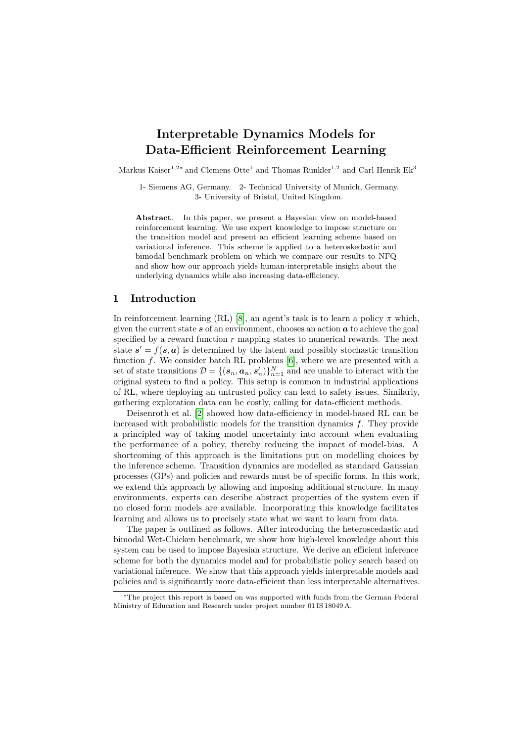# **Interpretable Dynamics Models for Data-Efficient Reinforcement Learning**

Markus Kaiser<sup>1,2</sup><sup>\*</sup> and Clemens Otte<sup>1</sup> and Thomas Runkler<sup>1,2</sup> and Carl Henrik Ek<sup>3</sup>

1- Siemens AG, Germany. 2- Technical University of Munich, Germany. 3- University of Bristol, United Kingdom.

**Abstract**. In this paper, we present a Bayesian view on model-based reinforcement learning. We use expert knowledge to impose structure on the transition model and present an efficient learning scheme based on variational inference. This scheme is applied to a heteroskedastic and bimodal benchmark problem on which we compare our results to NFQ and show how our approach yields human-interpretable insight about the underlying dynamics while also increasing data-efficiency.

## **1 Introduction**

In reinforcement learning (RL) [\[8\]](#page-5-0), an agent's task is to learn a policy  $\pi$  which, given the current state *s* of an environment, chooses an action *a* to achieve the goal specified by a reward function *r* mapping states to numerical rewards. The next state  $s' = f(s, a)$  is determined by the latent and possibly stochastic transition function *f*. We consider batch RL problems [\[6\]](#page-5-1), where we are presented with a set of state transitions  $\mathcal{D} = \{(\mathbf{s}_n, \mathbf{a}_n, \mathbf{s}'_n)\}_{n=1}^N$  and are unable to interact with the original system to find a policy. This setup is common in industrial applications of RL, where deploying an untrusted policy can lead to safety issues. Similarly, gathering exploration data can be costly, calling for data-efficient methods.

Deisenroth et al. [\[2\]](#page-5-2) showed how data-efficiency in model-based RL can be increased with probabilistic models for the transition dynamics *f*. They provide a principled way of taking model uncertainty into account when evaluating the performance of a policy, thereby reducing the impact of model-bias. A shortcoming of this approach is the limitations put on modelling choices by the inference scheme. Transition dynamics are modelled as standard Gaussian processes (GPs) and policies and rewards must be of specific forms. In this work, we extend this approach by allowing and imposing additional structure. In many environments, experts can describe abstract properties of the system even if no closed form models are available. Incorporating this knowledge facilitates learning and allows us to precisely state what we want to learn from data.

The paper is outlined as follows. After introducing the heteroscedastic and bimodal Wet-Chicken benchmark, we show how high-level knowledge about this system can be used to impose Bayesian structure. We derive an efficient inference scheme for both the dynamics model and for probabilistic policy search based on variational inference. We show that this approach yields interpretable models and policies and is significantly more data-efficient than less interpretable alternatives.

<sup>∗</sup>The project this report is based on was supported with funds from the German Federal Ministry of Education and Research under project number 01 IS 18049 A.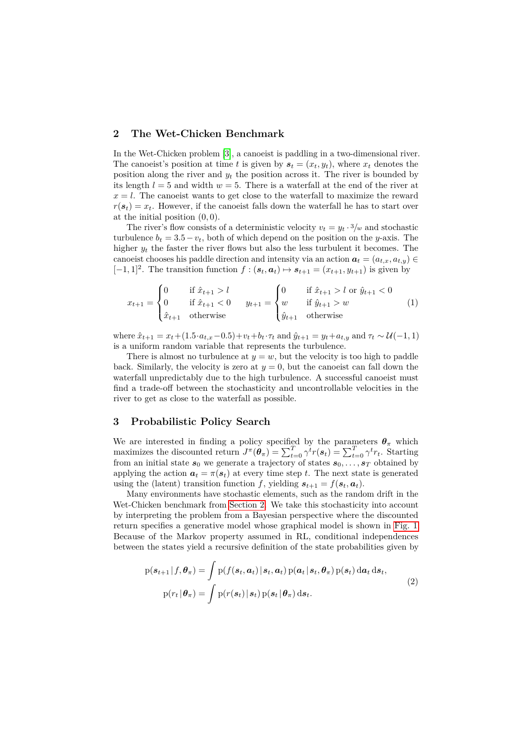# <span id="page-1-0"></span>**2 The Wet-Chicken Benchmark**

In the Wet-Chicken problem [\[3\]](#page-5-3), a canoeist is paddling in a two-dimensional river. The canoeist's position at time *t* is given by  $s_t = (x_t, y_t)$ , where  $x_t$  denotes the position along the river and *y<sup>t</sup>* the position across it. The river is bounded by its length  $l = 5$  and width  $w = 5$ . There is a waterfall at the end of the river at  $x = l$ . The canoeist wants to get close to the waterfall to maximize the reward  $r(\mathbf{s}_t) = x_t$ . However, if the canoeist falls down the waterfall he has to start over at the initial position (0*,* 0).

The river's flow consists of a deterministic velocity  $v_t = y_t \cdot \frac{3}{w}$  and stochastic turbulence  $b_t = 3.5 - v_t$ , both of which depend on the position on the *y*-axis. The higher  $y_t$  the faster the river flows but also the less turbulent it becomes. The canoeist chooses his paddle direction and intensity via an action  $a_t = (a_{t,x}, a_{t,y}) \in$  $[-1, 1]^2$ . The transition function  $f : (\mathbf{s}_t, \mathbf{a}_t) \mapsto \mathbf{s}_{t+1} = (x_{t+1}, y_{t+1})$  is given by

$$
x_{t+1} = \begin{cases} 0 & \text{if } \hat{x}_{t+1} > l \\ 0 & \text{if } \hat{x}_{t+1} < 0 \\ \hat{x}_{t+1} & \text{otherwise} \end{cases} \qquad y_{t+1} = \begin{cases} 0 & \text{if } \hat{x}_{t+1} > l \text{ or } \hat{y}_{t+1} < 0 \\ w & \text{if } \hat{y}_{t+1} > w \\ \hat{y}_{t+1} & \text{otherwise} \end{cases} \tag{1}
$$

where  $\hat{x}_{t+1} = x_t + (1.5 \cdot a_{t,x} - 0.5) + v_t + b_t \cdot \tau_t$  and  $\hat{y}_{t+1} = y_t + a_{t,y}$  and  $\tau_t \sim \mathcal{U}(-1, 1)$ is a uniform random variable that represents the turbulence.

There is almost no turbulence at  $y = w$ , but the velocity is too high to paddle back. Similarly, the velocity is zero at  $y = 0$ , but the canoeist can fall down the waterfall unpredictably due to the high turbulence. A successful canoeist must find a trade-off between the stochasticity and uncontrollable velocities in the river to get as close to the waterfall as possible.

# **3 Probabilistic Policy Search**

We are interested in finding a policy specified by the parameters  $\theta_{\pi}$  which maximizes the discounted return  $J^{\pi}(\theta_{\pi}) = \sum_{t=0}^{T} \gamma^{t} r(s_{t}) = \sum_{t=0}^{T} \gamma^{t} r_{t}$ . Starting from an initial state  $s_0$  we generate a trajectory of states  $s_0, \ldots, s_T$  obtained by applying the action  $a_t = \pi(s_t)$  at every time step *t*. The next state is generated using the (latent) transition function *f*, yielding  $s_{t+1} = f(s_t, a_t)$ .

Many environments have stochastic elements, such as the random drift in the Wet-Chicken benchmark from [Section 2.](#page-1-0) We take this stochasticity into account by interpreting the problem from a Bayesian perspective where the discounted return specifies a generative model whose graphical model is shown in [Fig. 1.](#page-2-0) Because of the Markov property assumed in RL, conditional independences between the states yield a recursive definition of the state probabilities given by

$$
p(\boldsymbol{s}_{t+1} | f, \boldsymbol{\theta}_{\pi}) = \int p(f(\boldsymbol{s}_t, \boldsymbol{a}_t) | \boldsymbol{s}_t, \boldsymbol{a}_t) p(\boldsymbol{a}_t | \boldsymbol{s}_t, \boldsymbol{\theta}_{\pi}) p(\boldsymbol{s}_t) d\boldsymbol{a}_t d\boldsymbol{s}_t, p(r_t | \boldsymbol{\theta}_{\pi}) = \int p(r(\boldsymbol{s}_t) | \boldsymbol{s}_t) p(\boldsymbol{s}_t | \boldsymbol{\theta}_{\pi}) d\boldsymbol{s}_t.
$$
 (2)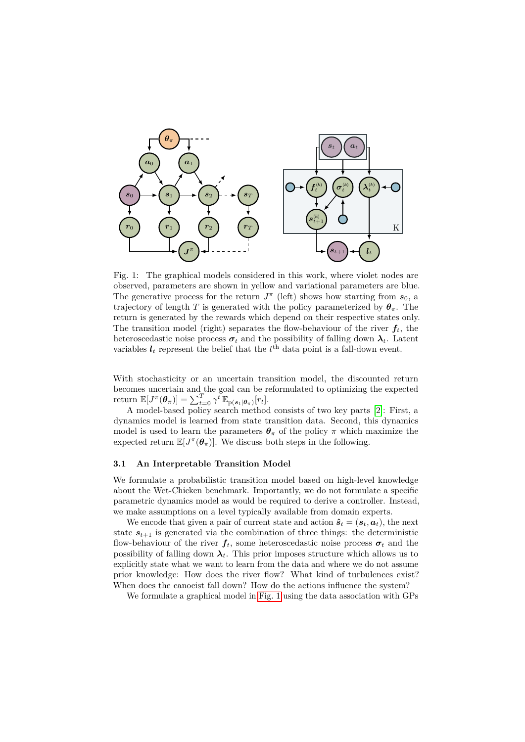<span id="page-2-0"></span>

Fig. 1: The graphical models considered in this work, where violet nodes are observed, parameters are shown in yellow and variational parameters are blue. The generative process for the return  $J^{\pi}$  (left) shows how starting from  $s_0$ , a trajectory of length *T* is generated with the policy parameterized by  $\theta_{\pi}$ . The return is generated by the rewards which depend on their respective states only. The transition model (right) separates the flow-behaviour of the river  $f_t$ , the heteroscedastic noise process  $\sigma_t$  and the possibility of falling down  $\lambda_t$ . Latent variables  $l_t$  represent the belief that the  $t^{\text{th}}$  data point is a fall-down event.

With stochasticity or an uncertain transition model, the discounted return becomes uncertain and the goal can be reformulated to optimizing the expected  $\text{return } \mathbb{E}[J^{\pi}(\boldsymbol{\theta}_{\pi})] = \sum_{t=0}^{T} \gamma^{t} \mathbb{E}_{p(\boldsymbol{s}_{t}|\boldsymbol{\theta}_{\pi})}[r_{t}].$ 

A model-based policy search method consists of two key parts [\[2\]](#page-5-2): First, a dynamics model is learned from state transition data. Second, this dynamics model is used to learn the parameters  $\theta_{\pi}$  of the policy  $\pi$  which maximize the expected return  $\mathbb{E}[J^{\pi}(\theta_{\pi})]$ . We discuss both steps in the following.

#### **3.1 An Interpretable Transition Model**

We formulate a probabilistic transition model based on high-level knowledge about the Wet-Chicken benchmark. Importantly, we do not formulate a specific parametric dynamics model as would be required to derive a controller. Instead, we make assumptions on a level typically available from domain experts.

We encode that given a pair of current state and action  $\hat{\boldsymbol{s}}_t = (\boldsymbol{s}_t, \boldsymbol{a}_t)$ , the next state  $s_{t+1}$  is generated via the combination of three things: the deterministic flow-behaviour of the river  $f_t$ , some heteroscedastic noise process  $\sigma_t$  and the possibility of falling down  $\lambda_t$ . This prior imposes structure which allows us to explicitly state what we want to learn from the data and where we do not assume prior knowledge: How does the river flow? What kind of turbulences exist? When does the canoeist fall down? How do the actions influence the system?

We formulate a graphical model in [Fig. 1](#page-2-0) using the data association with GPs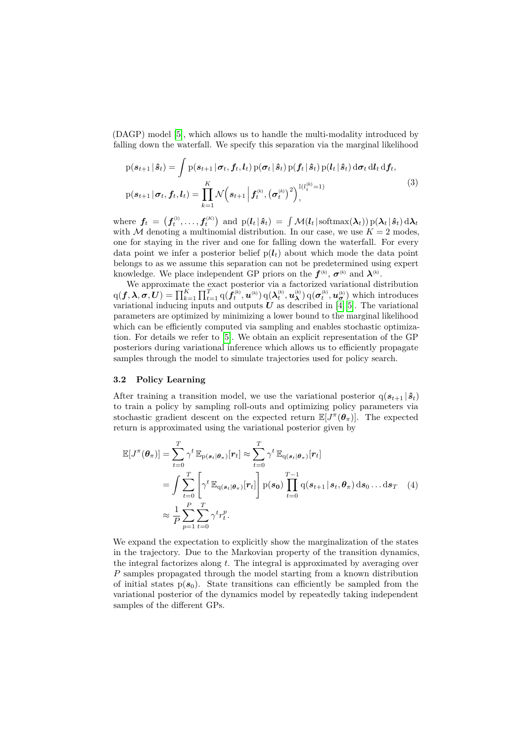(DAGP) model [\[5\]](#page-5-4), which allows us to handle the multi-modality introduced by falling down the waterfall. We specify this separation via the marginal likelihood

$$
p(\boldsymbol{s}_{t+1} | \hat{\boldsymbol{s}}_t) = \int p(\boldsymbol{s}_{t+1} | \boldsymbol{\sigma}_t, \boldsymbol{f}_t, \boldsymbol{l}_t) p(\boldsymbol{\sigma}_t | \hat{\boldsymbol{s}}_t) p(\boldsymbol{f}_t | \hat{\boldsymbol{s}}_t) p(\boldsymbol{l}_t | \hat{\boldsymbol{s}}_t) d\boldsymbol{\sigma}_t d\boldsymbol{l}_t d\boldsymbol{f}_t,
$$
  
\n
$$
p(\boldsymbol{s}_{t+1} | \boldsymbol{\sigma}_t, \boldsymbol{f}_t, \boldsymbol{l}_t) = \prod_{k=1}^K \mathcal{N}\Big(\boldsymbol{s}_{t+1} \Big| \boldsymbol{f}_t^{(k)}, (\boldsymbol{\sigma}_t^{(k)})^2\Big)_{t}^{\mathbb{I}(l_t^{(k)}=1)}.
$$
\n(3)

where  $\textbf{\textit{f}}_t \ = \ \left(\textbf{\textit{f}}_t^{_{(1)}}, \ldots, \textbf{\textit{f}}_t^{_{(K)}}\right) \ \text{and} \ \text{p}(\textbf{\textit{l}}_t \ \vert \ \textbf{\hat{s}}_t) \ = \ \int \mathcal{M}(\textbf{\textit{l}}_t \ \vert \ \text{softmax}(\boldsymbol{\lambda}_t)) \, \text{p}(\boldsymbol{\lambda}_t \ \vert \ \textbf{\hat{s}}_t) \, \text{d}\boldsymbol{\lambda}_t$ with M denoting a multinomial distribution. In our case, we use  $K = 2$  modes, one for staying in the river and one for falling down the waterfall. For every data point we infer a posterior belief  $p(l_t)$  about which mode the data point belongs to as we assume this separation can not be predetermined using expert knowledge. We place independent GP priors on the  $f^{(k)}$ ,  $\sigma^{(k)}$  and  $\lambda^{(k)}$ .

We approximate the exact posterior via a factorized variational distribution  $q(\boldsymbol{f}, \boldsymbol{\lambda}, \boldsymbol{\sigma}, \boldsymbol{U}) = \prod_{k=1}^{K} \prod_{t=1}^{T} q(\tilde{\boldsymbol{f}}_{t}^{(k)}, \boldsymbol{u}^{(k)}) q(\boldsymbol{\lambda}_{t}^{(k)}, \boldsymbol{u}_{\boldsymbol{\lambda}}^{(k)}) q(\boldsymbol{\sigma}_{t}^{(k)}, \boldsymbol{u}_{\boldsymbol{\sigma}}^{(k)})$  which introduces variational inducing inputs and outputs  $U$  as described in [\[4,](#page-5-5) [5\]](#page-5-4). The variational parameters are optimized by minimizing a lower bound to the marginal likelihood which can be efficiently computed via sampling and enables stochastic optimization. For details we refer to [\[5\]](#page-5-4). We obtain an explicit representation of the GP posteriors during variational inference which allows us to efficiently propagate samples through the model to simulate trajectories used for policy search.

#### **3.2 Policy Learning**

After training a transition model, we use the variational posterior  $q(s_{t+1} | \hat{s}_t)$ to train a policy by sampling roll-outs and optimizing policy parameters via stochastic gradient descent on the expected return  $\mathbb{E}[J^{\pi}(\theta_{\pi})]$ . The expected return is approximated using the variational posterior given by

<span id="page-3-0"></span>
$$
\mathbb{E}[J^{\pi}(\boldsymbol{\theta}_{\pi})] = \sum_{t=0}^{T} \gamma^{t} \mathbb{E}_{p(\boldsymbol{s}_{t}|\boldsymbol{\theta}_{\pi})}[r_{t}] \approx \sum_{t=0}^{T} \gamma^{t} \mathbb{E}_{q(\boldsymbol{s}_{t}|\boldsymbol{\theta}_{\pi})}[r_{t}]
$$
\n
$$
= \int \sum_{t=0}^{T} \left[ \gamma^{t} \mathbb{E}_{q(\boldsymbol{s}_{t}|\boldsymbol{\theta}_{\pi})}[r_{t}] \right] p(\boldsymbol{s}_{0}) \prod_{t=0}^{T-1} q(\boldsymbol{s}_{t+1}|\boldsymbol{s}_{t}, \boldsymbol{\theta}_{\pi}) d\boldsymbol{s}_{0} \dots d\boldsymbol{s}_{T} \quad (4)
$$
\n
$$
\approx \frac{1}{P} \sum_{p=1}^{P} \sum_{t=0}^{T} \gamma^{t} r_{t}^{p}.
$$

We expand the expectation to explicitly show the marginalization of the states in the trajectory. Due to the Markovian property of the transition dynamics, the integral factorizes along *t*. The integral is approximated by averaging over *P* samples propagated through the model starting from a known distribution of initial states  $p(s_0)$ . State transitions can efficiently be sampled from the variational posterior of the dynamics model by repeatedly taking independent samples of the different GPs.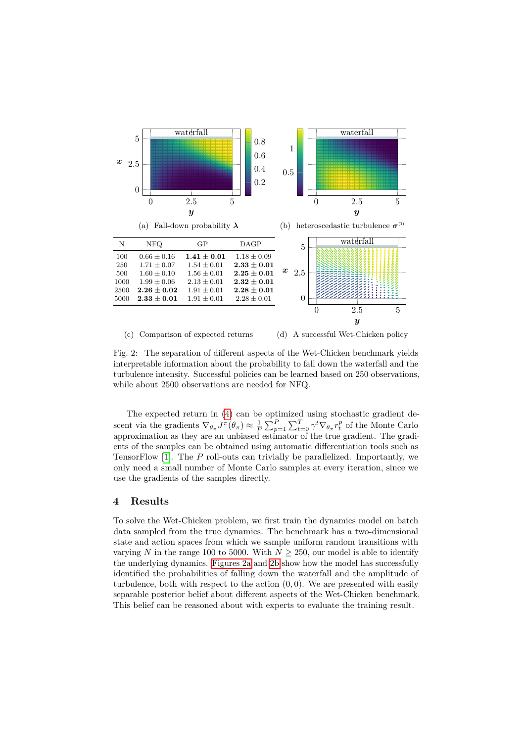<span id="page-4-0"></span>

(c) Comparison of expected returns (d) A successful Wet-Chicken policy

Fig. 2: The separation of different aspects of the Wet-Chicken benchmark yields interpretable information about the probability to fall down the waterfall and the turbulence intensity. Successful policies can be learned based on 250 observations, while about 2500 observations are needed for NFQ.

The expected return in [\(4\)](#page-3-0) can be optimized using stochastic gradient descent via the gradients  $\nabla_{\theta_{\pi}} J^{\pi}(\theta_{\pi}) \approx \frac{1}{P} \sum_{p=1}^{P} \sum_{t=0}^{T} \gamma^{t} \nabla_{\theta_{\pi}} r_{t}^{p}$  of the Monte Carlo approximation as they are an unbiased estimator of the true gradient. The gradients of the samples can be obtained using automatic differentiation tools such as TensorFlow [\[1\]](#page-5-6). The *P* roll-outs can trivially be parallelized. Importantly, we only need a small number of Monte Carlo samples at every iteration, since we use the gradients of the samples directly.

## **4 Results**

To solve the Wet-Chicken problem, we first train the dynamics model on batch data sampled from the true dynamics. The benchmark has a two-dimensional state and action spaces from which we sample uniform random transitions with varying *N* in the range 100 to 5000. With  $N \ge 250$ , our model is able to identify the underlying dynamics. [Figures 2a](#page-4-0) and [2b](#page-4-0) show how the model has successfully identified the probabilities of falling down the waterfall and the amplitude of turbulence, both with respect to the action (0*,* 0). We are presented with easily separable posterior belief about different aspects of the Wet-Chicken benchmark. This belief can be reasoned about with experts to evaluate the training result.